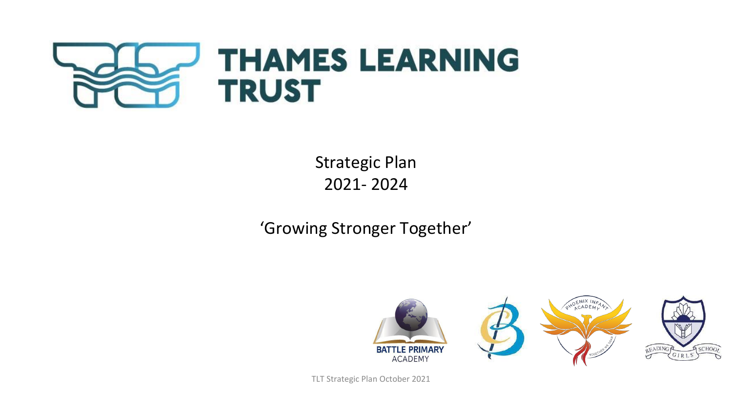

Strategic Plan 2021- 2024

'Growing Stronger Together'



TLT Strategic Plan October 2021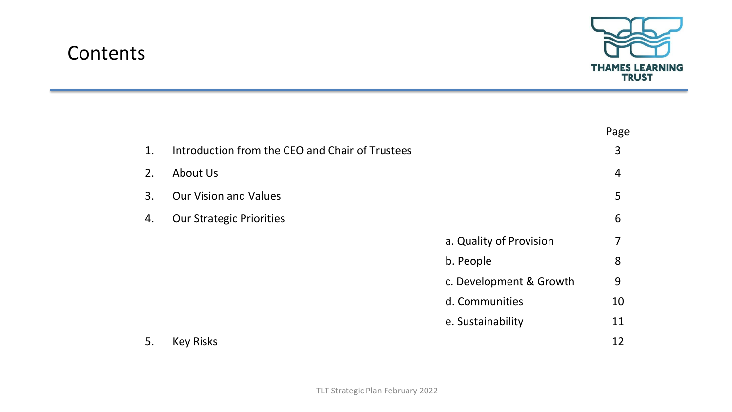# Contents



|    |                                                 | Page |
|----|-------------------------------------------------|------|
| 1. | Introduction from the CEO and Chair of Trustees | 3    |
| 2. | About Us                                        | 4    |
| 3. | <b>Our Vision and Values</b>                    | 5    |
| 4. | <b>Our Strategic Priorities</b>                 | 6    |
|    | a. Quality of Provision                         | 7    |
|    | b. People                                       | 8    |
|    | c. Development & Growth                         | 9    |
|    | d. Communities                                  | 10   |
|    | e. Sustainability                               | 11   |
| 5. | <b>Key Risks</b>                                | 12   |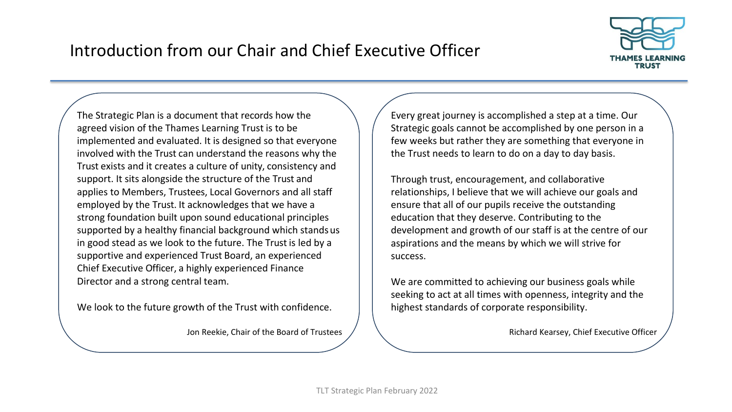# Introduction from our Chair and Chief Executive Officer



The Strategic Plan is a document that records how the agreed vision of the Thames Learning Trust is to be implemented and evaluated. It is designed so that everyone involved with the Trust can understand the reasons why the Trust exists and it creates a culture of unity, consistency and support. It sits alongside the structure of the Trust and applies to Members, Trustees, Local Governors and all staff employed by the Trust. It acknowledges that we have a strong foundation built upon sound educational principles supported by a healthy financial background which standsus in good stead as we look to the future. The Trust is led by a supportive and experienced Trust Board, an experienced Chief Executive Officer, a highly experienced Finance Director and a strong central team.

We look to the future growth of the Trust with confidence.

Jon Reekie, Chair of the Board of Trustees

Every great journey is accomplished a step at a time. Our Strategic goals cannot be accomplished by one person in a few weeks but rather they are something that everyone in the Trust needs to learn to do on a day to day basis.

Through trust, encouragement, and collaborative relationships, I believe that we will achieve our goals and ensure that all of our pupils receive the outstanding education that they deserve. Contributing to the development and growth of our staff is at the centre of our aspirations and the means by which we will strive for success.

We are committed to achieving our business goals while seeking to act at all times with openness, integrity and the highest standards of corporate responsibility.

Richard Kearsey, Chief Executive Officer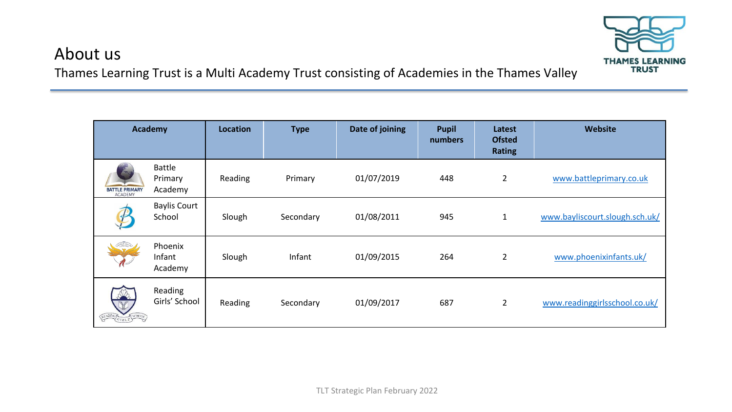

## About us

Thames Learning Trust is a Multi Academy Trust consisting of Academies in the Thames Valley

|                           | <b>Academy</b>                      | <b>Location</b> | <b>Type</b> | Date of joining | <b>Pupil</b><br>numbers | Latest<br><b>Ofsted</b><br><b>Rating</b> | Website                        |
|---------------------------|-------------------------------------|-----------------|-------------|-----------------|-------------------------|------------------------------------------|--------------------------------|
| BATTLE PRIMARY<br>ACADEMY | <b>Battle</b><br>Primary<br>Academy | Reading         | Primary     | 01/07/2019      | 448                     | $\overline{2}$                           | www.battleprimary.co.uk        |
| $\frac{p}{\sqrt{2}}$      | <b>Baylis Court</b><br>School       | Slough          | Secondary   | 01/08/2011      | 945                     | $\mathbf{1}$                             | www.bayliscourt.slough.sch.uk/ |
|                           | Phoenix<br>Infant<br>Academy        | Slough          | Infant      | 01/09/2015      | 264                     | $\overline{2}$                           | www.phoenixinfants.uk/         |
| READING GERLS SCHOOL      | Reading<br>Girls' School            | Reading         | Secondary   | 01/09/2017      | 687                     | $\overline{2}$                           | www.readinggirlsschool.co.uk/  |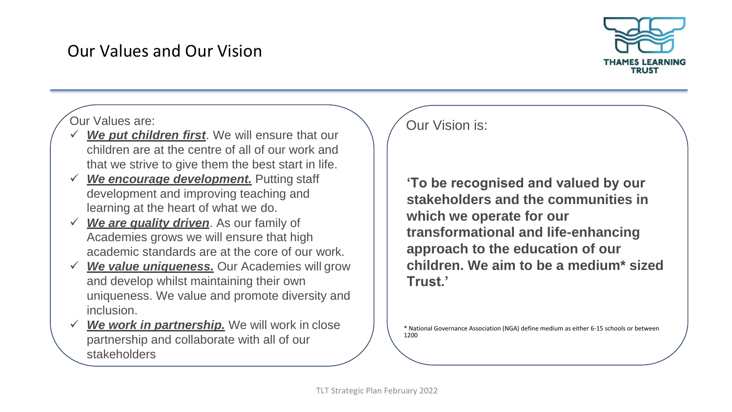## Our Values and Our Vision



Our Values are:

- ✓ *We put children first*. We will ensure that our children are at the centre of all of our work and that we strive to give them the best start in life.
- ✓ *We encourage development.* Putting staff development and improving teaching and learning at the heart of what we do.
- ✓ *We are quality driven*. As our family of Academies grows we will ensure that high academic standards are at the core of our work.
- ✓ *We value uniqueness.* Our Academies will grow and develop whilst maintaining their own uniqueness. We value and promote diversity and inclusion.
- ✓ *We work in partnership.* We will work in close partnership and collaborate with all of our stakeholders

Our Vision is:

**'To be recognised and valued by our stakeholders and the communities in which we operate for our transformational and life-enhancing approach to the education of our children. We aim to be a medium\* sized Trust.'**

\* National Governance Association (NGA) define medium as either 6-15 schools or between 1200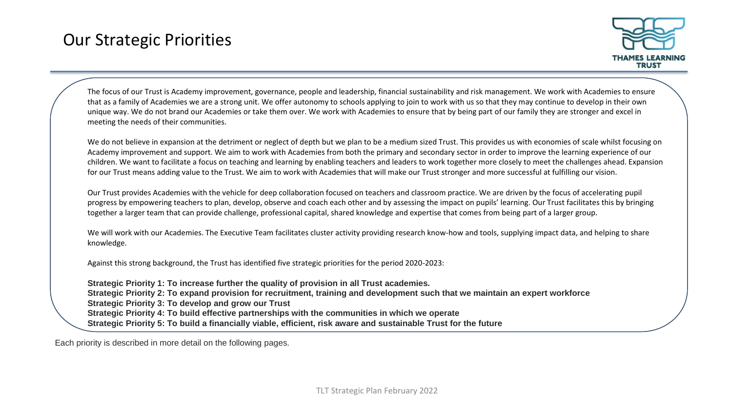# Our Strategic Priorities



The focus of our Trust is Academy improvement, governance, people and leadership, financial sustainability and risk management. We work with Academies to ensure that as a family of Academies we are a strong unit. We offer autonomy to schools applying to join to work with us so that they may continue to develop in their own unique way. We do not brand our Academies or take them over. We work with Academies to ensure that by being part of our family they are stronger and excel in meeting the needs of their communities.

We do not believe in expansion at the detriment or neglect of depth but we plan to be a medium sized Trust. This provides us with economies of scale whilst focusing on Academy improvement and support. We aim to work with Academies from both the primary and secondary sector in order to improve the learning experience of our children. We want to facilitate a focus on teaching and learning by enabling teachers and leaders to work together more closely to meet the challenges ahead. Expansion for our Trust means adding value to the Trust. We aim to work with Academies that will make our Trust stronger and more successful at fulfilling our vision.

Our Trust provides Academies with the vehicle for deep collaboration focused on teachers and classroom practice. We are driven by the focus of accelerating pupil progress by empowering teachers to plan, develop, observe and coach each other and by assessing the impact on pupils' learning. Our Trust facilitates this by bringing together a larger team that can provide challenge, professional capital, shared knowledge and expertise that comes from being part of a larger group.

We will work with our Academies. The Executive Team facilitates cluster activity providing research know-how and tools, supplying impact data, and helping to share knowledge.

Against this strong background, the Trust has identified five strategic priorities for the period 2020-2023:

**Strategic Priority 1: To increase further the quality of provision in all Trust academies. Strategic Priority 2: To expand provision for recruitment, training and development such that we maintain an expert workforce Strategic Priority 3: To develop and grow our Trust Strategic Priority 4: To build effective partnerships with the communities in which we operate Strategic Priority 5: To build a financially viable, efficient, risk aware and sustainable Trust for the future**

Each priority is described in more detail on the following pages.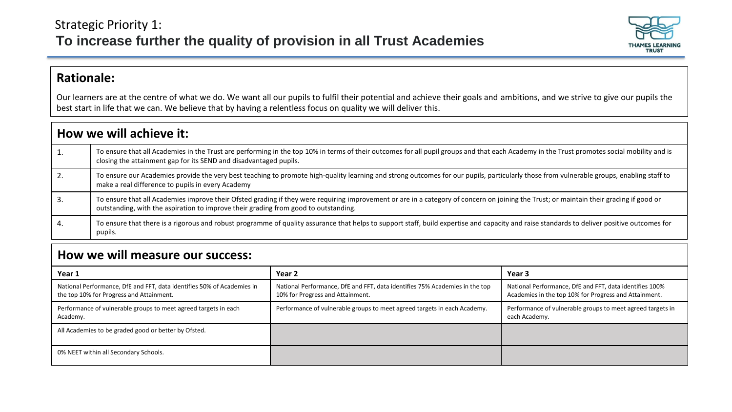

#### **Rationale:**

Our learners are at the centre of what we do. We want all our pupils to fulfil their potential and achieve their goals and ambitions, and we strive to give our pupils the best start in life that we can. We believe that by having a relentless focus on quality we will deliver this.

|    | How we will achieve it:                                                                                                                                                                                                                                                        |
|----|--------------------------------------------------------------------------------------------------------------------------------------------------------------------------------------------------------------------------------------------------------------------------------|
|    | To ensure that all Academies in the Trust are performing in the top 10% in terms of their outcomes for all pupil groups and that each Academy in the Trust promotes social mobility and is<br>closing the attainment gap for its SEND and disadvantaged pupils.                |
|    | To ensure our Academies provide the very best teaching to promote high-quality learning and strong outcomes for our pupils, particularly those from vulnerable groups, enabling staff to<br>make a real difference to pupils in every Academy                                  |
| 3. | To ensure that all Academies improve their Ofsted grading if they were requiring improvement or are in a category of concern on joining the Trust; or maintain their grading if good or<br>outstanding, with the aspiration to improve their grading from good to outstanding. |
| 4. | To ensure that there is a rigorous and robust programme of quality assurance that helps to support staff, build expertise and capacity and raise standards to deliver positive outcomes for<br>pupils.                                                                         |

| Year 1                                                                                                             | Year 2                                                                                                          | Year 3                                                                                                           |
|--------------------------------------------------------------------------------------------------------------------|-----------------------------------------------------------------------------------------------------------------|------------------------------------------------------------------------------------------------------------------|
| National Performance, DfE and FFT, data identifies 50% of Academies in<br>the top 10% for Progress and Attainment. | National Performance, DfE and FFT, data identifies 75% Academies in the top<br>10% for Progress and Attainment. | National Performance, DfE and FFT, data identifies 100%<br>Academies in the top 10% for Progress and Attainment. |
| Performance of vulnerable groups to meet agreed targets in each<br>Academy.                                        | Performance of vulnerable groups to meet agreed targets in each Academy.                                        | Performance of vulnerable groups to meet agreed targets in<br>each Academy.                                      |
| All Academies to be graded good or better by Ofsted.                                                               |                                                                                                                 |                                                                                                                  |
| 0% NEET within all Secondary Schools.                                                                              |                                                                                                                 |                                                                                                                  |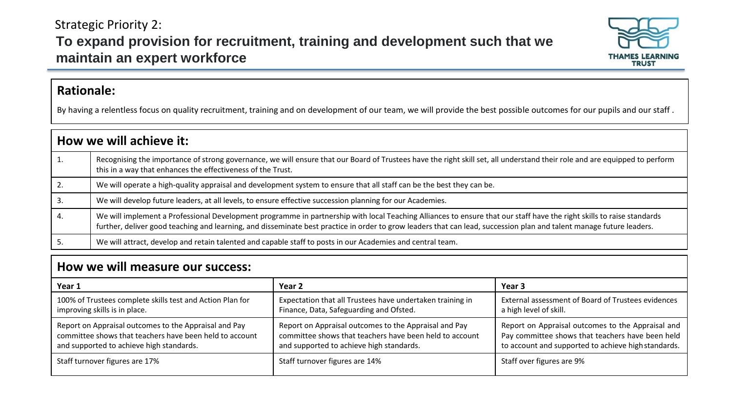### Strategic Priority 2: **To expand provision for recruitment, training and development such that we maintain an expert workforce**



#### **Rationale:**

By having a relentless focus on quality recruitment, training and on development of our team, we will provide the best possible outcomes for our pupils and our staff.

|    | How we will achieve it:                                                                                                                                                                                                                                                                                                                       |
|----|-----------------------------------------------------------------------------------------------------------------------------------------------------------------------------------------------------------------------------------------------------------------------------------------------------------------------------------------------|
|    | Recognising the importance of strong governance, we will ensure that our Board of Trustees have the right skill set, all understand their role and are equipped to perform<br>this in a way that enhances the effectiveness of the Trust.                                                                                                     |
|    | We will operate a high-quality appraisal and development system to ensure that all staff can be the best they can be.                                                                                                                                                                                                                         |
|    | We will develop future leaders, at all levels, to ensure effective succession planning for our Academies.                                                                                                                                                                                                                                     |
| 4. | We will implement a Professional Development programme in partnership with local Teaching Alliances to ensure that our staff have the right skills to raise standards<br>further, deliver good teaching and learning, and disseminate best practice in order to grow leaders that can lead, succession plan and talent manage future leaders. |
|    | We will attract, develop and retain talented and capable staff to posts in our Academies and central team.                                                                                                                                                                                                                                    |

| Year 1                                                                                                                                                       | Year 2                                                                                                                                                       | Year 3                                                                                                                                                       |
|--------------------------------------------------------------------------------------------------------------------------------------------------------------|--------------------------------------------------------------------------------------------------------------------------------------------------------------|--------------------------------------------------------------------------------------------------------------------------------------------------------------|
| 100% of Trustees complete skills test and Action Plan for<br>improving skills is in place.                                                                   | Expectation that all Trustees have undertaken training in<br>Finance, Data, Safeguarding and Ofsted.                                                         | External assessment of Board of Trustees evidences<br>a high level of skill.                                                                                 |
| Report on Appraisal outcomes to the Appraisal and Pay<br>committee shows that teachers have been held to account<br>and supported to achieve high standards. | Report on Appraisal outcomes to the Appraisal and Pay<br>committee shows that teachers have been held to account<br>and supported to achieve high standards. | Report on Appraisal outcomes to the Appraisal and<br>Pay committee shows that teachers have been held<br>to account and supported to achieve high standards. |
| Staff turnover figures are 17%                                                                                                                               | Staff turnover figures are 14%                                                                                                                               | Staff over figures are 9%                                                                                                                                    |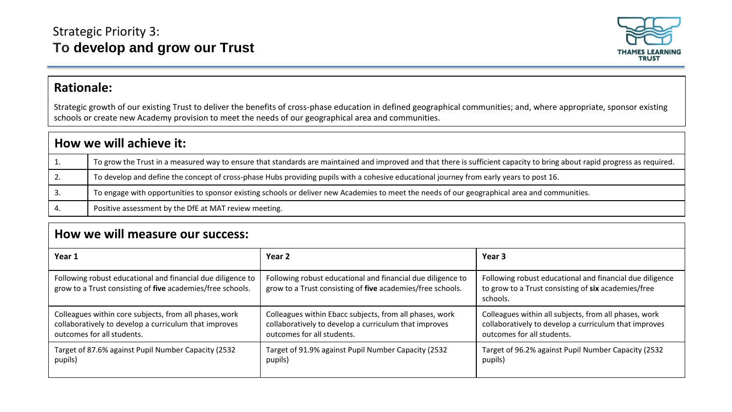

#### **Rationale:**

Strategic growth of our existing Trust to deliver the benefits of cross-phase education in defined geographical communities; and, where appropriate, sponsor existing schools or create new Academy provision to meet the needs of our geographical area and communities.

| How we will achieve it: |                                                                                                                                                                           |  |  |
|-------------------------|---------------------------------------------------------------------------------------------------------------------------------------------------------------------------|--|--|
|                         | To grow the Trust in a measured way to ensure that standards are maintained and improved and that there is sufficient capacity to bring about rapid progress as required. |  |  |
| 2.                      | To develop and define the concept of cross-phase Hubs providing pupils with a cohesive educational journey from early years to post 16.                                   |  |  |
| -3.                     | To engage with opportunities to sponsor existing schools or deliver new Academies to meet the needs of our geographical area and communities.                             |  |  |
| 4.                      | Positive assessment by the DfE at MAT review meeting.                                                                                                                     |  |  |

| Year 1                                                                                                                    | Year 2                                                                                                                    | Year 3                                                                                                                      |
|---------------------------------------------------------------------------------------------------------------------------|---------------------------------------------------------------------------------------------------------------------------|-----------------------------------------------------------------------------------------------------------------------------|
| Following robust educational and financial due diligence to<br>grow to a Trust consisting of five academies/free schools. | Following robust educational and financial due diligence to<br>grow to a Trust consisting of five academies/free schools. | Following robust educational and financial due diligence<br>to grow to a Trust consisting of six academies/free<br>schools. |
| Colleagues within core subjects, from all phases, work                                                                    | Colleagues within Ebacc subjects, from all phases, work                                                                   | Colleagues within all subjects, from all phases, work                                                                       |
| collaboratively to develop a curriculum that improves                                                                     | collaboratively to develop a curriculum that improves                                                                     | collaboratively to develop a curriculum that improves                                                                       |
| outcomes for all students.                                                                                                | outcomes for all students.                                                                                                | outcomes for all students.                                                                                                  |
| Target of 87.6% against Pupil Number Capacity (2532                                                                       | Target of 91.9% against Pupil Number Capacity (2532                                                                       | Target of 96.2% against Pupil Number Capacity (2532                                                                         |
| pupils)                                                                                                                   | pupils)                                                                                                                   | pupils)                                                                                                                     |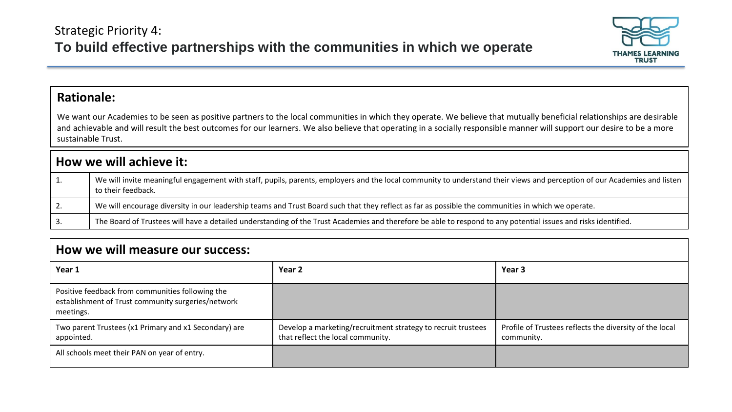

#### **Rationale:**

We want our Academies to be seen as positive partners to the local communities in which they operate. We believe that mutually beneficial relationships are desirable and achievable and will result the best outcomes for our learners. We also believe that operating in a socially responsible manner will support our desire to be a more sustainable Trust.

| How we will achieve it: |                                                                                                                                                                                                |  |  |
|-------------------------|------------------------------------------------------------------------------------------------------------------------------------------------------------------------------------------------|--|--|
| 1.                      | We will invite meaningful engagement with staff, pupils, parents, employers and the local community to understand their views and perception of our Academies and listen<br>to their feedback. |  |  |
|                         | We will encourage diversity in our leadership teams and Trust Board such that they reflect as far as possible the communities in which we operate.                                             |  |  |
| -3.                     | The Board of Trustees will have a detailed understanding of the Trust Academies and therefore be able to respond to any potential issues and risks identified.                                 |  |  |

| How we will measure our success:                                                                                    |                                                                                                   |                                                                       |  |
|---------------------------------------------------------------------------------------------------------------------|---------------------------------------------------------------------------------------------------|-----------------------------------------------------------------------|--|
| Year 1                                                                                                              | Year 2                                                                                            | Year <sub>3</sub>                                                     |  |
| Positive feedback from communities following the<br>establishment of Trust community surgeries/network<br>meetings. |                                                                                                   |                                                                       |  |
| Two parent Trustees (x1 Primary and x1 Secondary) are<br>appointed.                                                 | Develop a marketing/recruitment strategy to recruit trustees<br>that reflect the local community. | Profile of Trustees reflects the diversity of the local<br>community. |  |
| All schools meet their PAN on year of entry.                                                                        |                                                                                                   |                                                                       |  |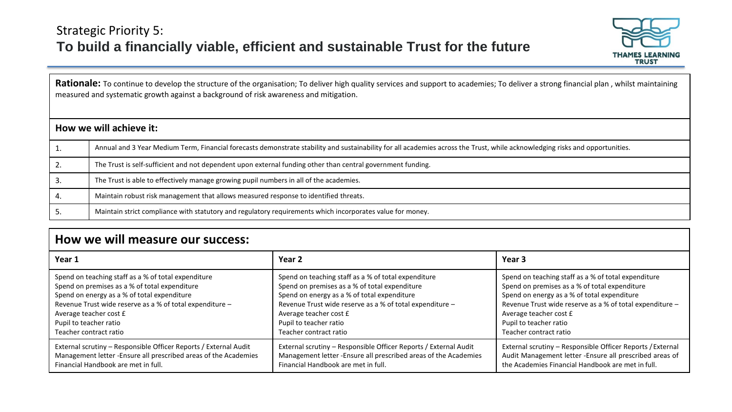

Rationale: To continue to develop the structure of the organisation; To deliver high quality services and support to academies; To deliver a strong financial plan, whilst maintaining measured and systematic growth against a background of risk awareness and mitigation.

#### **How we will achieve it:**

| The Trust is self-sufficient and not dependent upon external funding other than central government funding.<br><u>.</u> |  |
|-------------------------------------------------------------------------------------------------------------------------|--|
|-------------------------------------------------------------------------------------------------------------------------|--|

| The Trust is able to effectively manage growing pupil numbers in all of the academies.<br>. ت |
|-----------------------------------------------------------------------------------------------|
|-----------------------------------------------------------------------------------------------|

|  | Maintain robust risk management that allows measured response to identified threats. |
|--|--------------------------------------------------------------------------------------|
|--|--------------------------------------------------------------------------------------|

5. Maintain strict compliance with statutory and regulatory requirements which incorporates value for money.

| Year 1                                                           | Year 2                                                           | Year 3                                                     |
|------------------------------------------------------------------|------------------------------------------------------------------|------------------------------------------------------------|
| Spend on teaching staff as a % of total expenditure              | Spend on teaching staff as a % of total expenditure              | Spend on teaching staff as a % of total expenditure        |
| Spend on premises as a % of total expenditure                    | Spend on premises as a % of total expenditure                    | Spend on premises as a % of total expenditure              |
| Spend on energy as a % of total expenditure                      | Spend on energy as a % of total expenditure                      | Spend on energy as a % of total expenditure                |
| Revenue Trust wide reserve as a % of total expenditure -         | Revenue Trust wide reserve as a % of total expenditure -         | Revenue Trust wide reserve as a % of total expenditure -   |
| Average teacher cost £                                           | Average teacher cost £                                           | Average teacher cost £                                     |
| Pupil to teacher ratio                                           | Pupil to teacher ratio                                           | Pupil to teacher ratio                                     |
| Teacher contract ratio                                           | Teacher contract ratio                                           | Teacher contract ratio                                     |
| External scrutiny - Responsible Officer Reports / External Audit | External scrutiny - Responsible Officer Reports / External Audit | External scrutiny - Responsible Officer Reports / External |
| Management letter - Ensure all prescribed areas of the Academies | Management letter - Ensure all prescribed areas of the Academies | Audit Management letter -Ensure all prescribed areas of    |
| Financial Handbook are met in full.                              | Financial Handbook are met in full.                              | the Academies Financial Handbook are met in full.          |